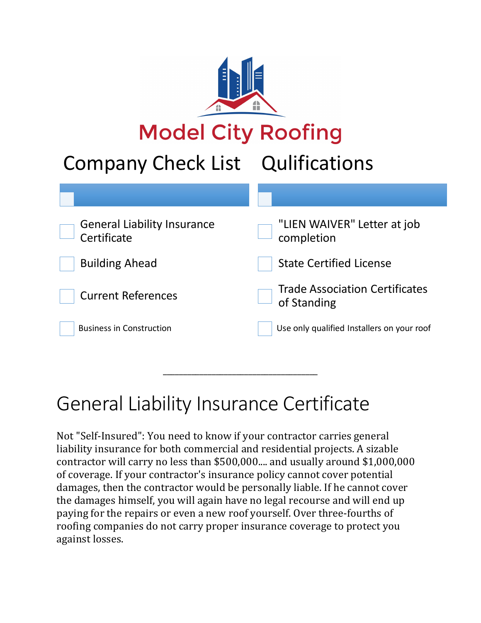

# **Model City Roofing**

## Company Check List Qulifications

| <b>General Liability Insurance</b><br>Certificate | "LIEN WAIVER" Letter at job<br>completion            |
|---------------------------------------------------|------------------------------------------------------|
| <b>Building Ahead</b>                             | <b>State Certified License</b>                       |
| <b>Current References</b>                         | <b>Trade Association Certificates</b><br>of Standing |
| <b>Business in Construction</b>                   | Use only qualified Installers on your roof           |

## General Liability Insurance Certificate

Not "Self-Insured": You need to know if your contractor carries general liability insurance for both commercial and residential projects. A sizable contractor will carry no less than \$500,000.... and usually around \$1,000,000 of coverage. If your contractor's insurance policy cannot cover potential damages, then the contractor would be personally liable. If he cannot cover the damages himself, you will again have no legal recourse and will end up paying for the repairs or even a new roof yourself. Over three-fourths of roofing companies do not carry proper insurance coverage to protect you against losses.

\_\_\_\_\_\_\_\_\_\_\_\_\_\_\_\_\_\_\_\_\_\_\_\_\_\_\_\_\_\_\_\_\_\_\_\_\_\_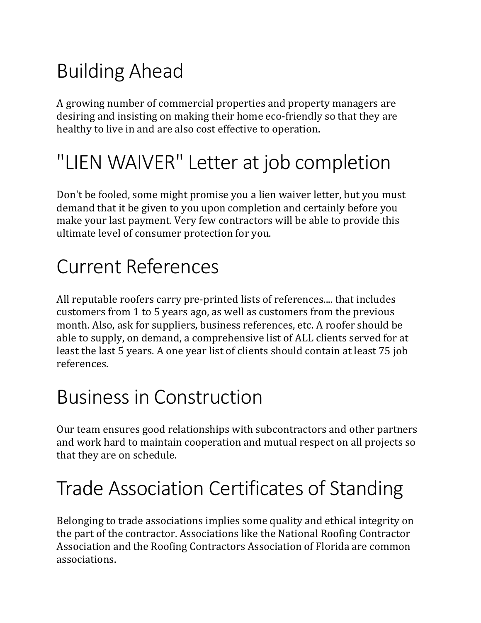# Building Ahead

A growing number of commercial properties and property managers are desiring and insisting on making their home eco-friendly so that they are healthy to live in and are also cost effective to operation.

## "LIEN WAIVER" Letter at job completion

Don't be fooled, some might promise you a lien waiver letter, but you must demand that it be given to you upon completion and certainly before you make your last payment. Very few contractors will be able to provide this ultimate level of consumer protection for you.

#### Current References

All reputable roofers carry pre-printed lists of references.... that includes customers from 1 to 5 years ago, as well as customers from the previous month. Also, ask for suppliers, business references, etc. A roofer should be able to supply, on demand, a comprehensive list of ALL clients served for at least the last 5 years. A one year list of clients should contain at least 75 job references.

#### **Business in Construction**

Our team ensures good relationships with subcontractors and other partners and work hard to maintain cooperation and mutual respect on all projects so that they are on schedule.

# Trade Association Certificates of Standing

Belonging to trade associations implies some quality and ethical integrity on the part of the contractor. Associations like the National Roofing Contractor Association and the Roofing Contractors Association of Florida are common associations.